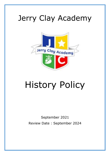# Jerry Clay Academy



# History Policy

September 2021 Review Date : September 2024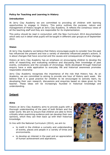#### **Policy for Teaching and Learning in History**

#### **Introduction**

At Jerry Clay Academy we are committed to providing all children with learning opportunities to engage in History. This policy outlines the purpose, nature and management of History taught at Jerry Clay Academy. It reflects the consensus views of all the teaching staff and they are responsible for its implementation.

This policy should be read in conjunction with the New Curriculum 2014 documentation which sets out in detail what pupils will be taught in different year groups as of September 2014.

#### **Vision**

At Jerry Clay Academy we believe that History encourages pupils to consider how the past has influenced the present and how a variety of elements influenced people's actions. It is about changes that have occurred and the causes and consequences of these changes.

History at Jerry Clay Academy has an emphasis on encouraging children to develop the skills of researching and evaluating evidence and discussing their knowledge of past events, civilizations and the concepts of chronology. Skills developed through historical enquiry have a wide application to everyday life and historical awareness promotes responsible citizenship

Jerry Clay Academy recognises the importance of the role that History has. As an Academy, we are committed to aiming to provide one hour of History each week. We believe that it is good practice for children to be encouraged to actively learn, by developing their own research, discussions and enquiries based on ideas given by the teacher. These ideas will be increasingly founded in historical knowledge and understanding.

## **Intent**

#### **Aims**

History at Jerry Clay Academy aims to provide pupils with a thorough understanding of the past of both Britain and the wider world. We aim to ensure that children are able to think critically when examining evidence and can develop their own opinions, which they can then back up with their historical knowledge.

In line with the National Curriculum (2014), we aim to:

- to instill in the children a curiosity and understanding of events, places and people in a variety of times and environments.
- to develop an interest in the past and an appreciation of human achievement and aspirations.

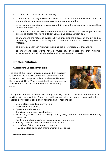- to understand the values of our society
- to learn about the major issues and events in the history of our own country and of the world and how these events have influenced one another
- to develop a knowledge of chronology within which the children can organise their understanding of the past
- to understand how the past was different from the present and that people of other times and places may have different values and attitudes from ours
- to understand the nature of evidence by emphasizing the process of enquiry and by developing the range of skills required to interpret primary and secondary source materials
- to distinguish between historical facts and the interpretation of those facts
- to understand that events have a multiplicity of causes and that historical explanation is provisional, debatable and sometimes controversial

# **Implementation**

#### **Curriculum Content Provision**

The core of the History provision at Jerry Clay Academy is based on the subject content that should be taught within each Key Stage as outlined in the new National Curriculum (2014). Where possible, History objectives are linked into the topics that children are learning about.



Through History the children learn a range of skills, concepts, attitudes and methods of working. We use a variety of teaching and learning styles in History lessons to develop children's knowledge, skills and understanding. These include:

- Use of story, including story telling.
- Discussions and debate
- Questions and answers
- Individual and group investigations
- Television, radio, audio recording, video, film, internet and other computing resources
- Fieldwork, including visits to museums and historic sites
- Having access to and are able to handle artefacts
- Use of non-fiction books to aid research
- Having visitors talk about their personal experiences.

#### **Health and Safety**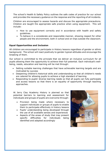The school's Health & Safety Policy outlines the safe codes of practice for our school and provides the necessary guidance on the response and the reporting of all incidents.

Children are encouraged to assess hazards and discuss the appropriate precautions. Children are taught the appropriate safe practice when using equipment. This will include:

- How to use equipment correctly and in accordance with health and safety guidelines.
- To behave in a considerate and responsible manner, showing respect for other people and the environment; both in school and on trips outside the classroom.

#### **Equal Opportunities and Inclusion**

All children are encouraged to participate in History lessons regardless of gender or ethnic background. The school will react positively to gender-typical attitudes and encourage the breaking of them.

Our school is committed to the principle that we deliver an inclusive curriculum for all pupils allowing them the opportunity to achieve their full potential. Each individual's wellbeing, needs, education and learning will be met through:

- Setting suitable learning challenges that have achievable learning targets and are motivated by success
- Deepening children's historical skills and understanding so that all children's needs are catered for allowing pupils to achieve a high standard of learning
- Responding to pupils' diverse learning needs so that all pupils can fully participate and access lessons so that there is an equality of opportunity through teaching approaches.

At Jerry Clay Academy History is planned so that potential barriers to learning and assessment for individuals and groups of pupils are overcome through:

- Provision being made where necessary to support individuals or groups of pupils to enable them to participate effectively in history lessons
- Pupils' understanding being developed through the use of all available senses and experiences
- Aspects of the areas of study that may present specific difficulties for individuals being identified and adapted accordingly

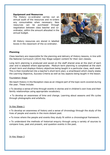#### **Equipment and Resources**

The History co-ordinator carries out an annual audit of the resources and re-orders any consumables when necessary. New resources can be purchased through negotiation between class teacher and coordinator, within the amount allocated in the annual budget.

All History resources are stored in labelled boxes in the classroom of the co-ordinator.



#### **Planning**

Class teachers are responsible for the planning and delivery of History lessons, in line with the National Curriculum (2014) Key Stage subject content for their own classes.

Long term planning is produced and saved on the staff shared area at the start of each year and is adapted where appropriate. Medium term planning is completed at the start of each term and displays History objectives being taught in a particular class, each week. This is then transferred into a teacher's short term plan; a smartboard which clearly states the Learning Objective, Success Criteria as well as key aspects being taught in the lesson.

#### Foundation Stage

We teach History in the Reception class as an integral part of the topic work covered during the year. These include:

• To develop a sense of time through events in stories and in children's own lives and their family relationships using appropriate vocabulary.

• To develop an awareness of time and change. Learning about seasons and life cycles through photographs and artefacts.

#### In Key Stage 1

• To develop an awareness of history and a sense of chronology through the study of the lives of people and events in the more distant past.

• To know where the people and events they study fit within a chronological framework.

• To understand the methods of historical enquiry through using a variety of sources to compare lives, past and present, and question events in the past.

In Key Stage 2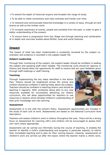- To extend the depth of historical enquiry and broaden the range of study.
- To be able to make connections and note contrasts and trends over time.

• To interpret and communicate historical knowledge in a variety of ways, through art and drama as well as the written word.

• To increase awareness of events, people and societies from the past, in order to gain a better understanding of the present.

• To ensure there is progression from Key Stage one through teaching and combination of in-depth and overview studies about British, local and world histories.

### **Impact**

The impact of what has been implemented is constantly reviewed by the subject coordinator and evidence is recorded in the subject leader file.

#### **Subject Leadership**

Through their monitoring of the subject, the subject leader should be confident in leading the subject and assisting staff when needed. The monitoring cycle should be rigorous in History and should allow the opportunity for staff to receive and act upon feedback given through staff meetings or staff training.

#### **Teaching**

Through implementing the key steps identified in the Action Plan, History should be heightened across the school and children should be confident in talking freely about the subject. Teachers should be confident in teaching History and should be teaching it regularly. With constantly being alert to any new resources available for successfully delivering our History curriculum, this will allow opportunities for teachers to use resources in lessons which develop children's understanding of both prior knowledge and new learning.



#### **Assessment**

Assessment is in line with the school's Policy. Assessment opportunities are included in the study of each unit of work. Assessments are based on the National Curriculum level descriptors.

Teachers will assess children's work in History throughout the year. There will be a strong focus on Assessment for Learning (AFL) and children will be encouraged to assess their own work where appropriate.

Assessment can be carried out informally during the course of teaching. It enables the teacher to identify a child's understanding and progress in particular aspects, to inform their immediate teaching and to plan for their coming lessons. Likewise, assessments of children's work are carried out after the lesson where the teacher marks a child's work,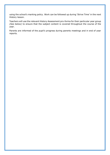using the school's marking policy. Work can be followed up during 'Strive Time' in the next History lesson.

Teachers will use the relevant History Assessment pro-forma for their particular year group *(See below)* to ensure that the subject content is covered throughout the course of the year.

Parents are informed of the pupil's progress during parents meetings and in end of year reports.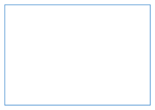